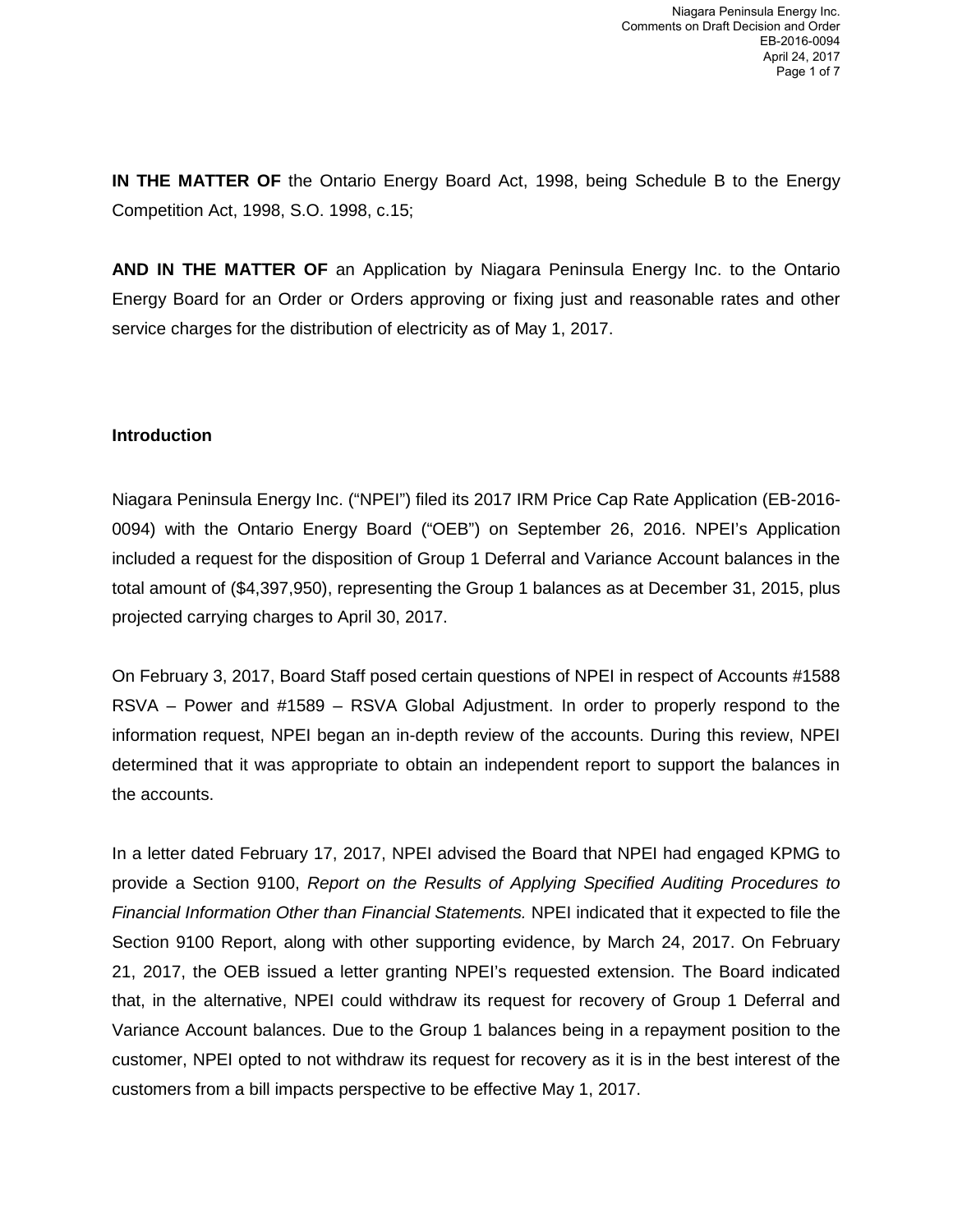**IN THE MATTER OF** the Ontario Energy Board Act, 1998, being Schedule B to the Energy Competition Act, 1998, S.O. 1998, c.15;

**AND IN THE MATTER OF** an Application by Niagara Peninsula Energy Inc. to the Ontario Energy Board for an Order or Orders approving or fixing just and reasonable rates and other service charges for the distribution of electricity as of May 1, 2017.

### **Introduction**

Niagara Peninsula Energy Inc. ("NPEI") filed its 2017 IRM Price Cap Rate Application (EB-2016- 0094) with the Ontario Energy Board ("OEB") on September 26, 2016. NPEI's Application included a request for the disposition of Group 1 Deferral and Variance Account balances in the total amount of (\$4,397,950), representing the Group 1 balances as at December 31, 2015, plus projected carrying charges to April 30, 2017.

On February 3, 2017, Board Staff posed certain questions of NPEI in respect of Accounts #1588 RSVA – Power and #1589 – RSVA Global Adjustment. In order to properly respond to the information request, NPEI began an in-depth review of the accounts. During this review, NPEI determined that it was appropriate to obtain an independent report to support the balances in the accounts.

In a letter dated February 17, 2017, NPEI advised the Board that NPEI had engaged KPMG to provide a Section 9100, *Report on the Results of Applying Specified Auditing Procedures to Financial Information Other than Financial Statements.* NPEI indicated that it expected to file the Section 9100 Report, along with other supporting evidence, by March 24, 2017. On February 21, 2017, the OEB issued a letter granting NPEI's requested extension. The Board indicated that, in the alternative, NPEI could withdraw its request for recovery of Group 1 Deferral and Variance Account balances. Due to the Group 1 balances being in a repayment position to the customer, NPEI opted to not withdraw its request for recovery as it is in the best interest of the customers from a bill impacts perspective to be effective May 1, 2017.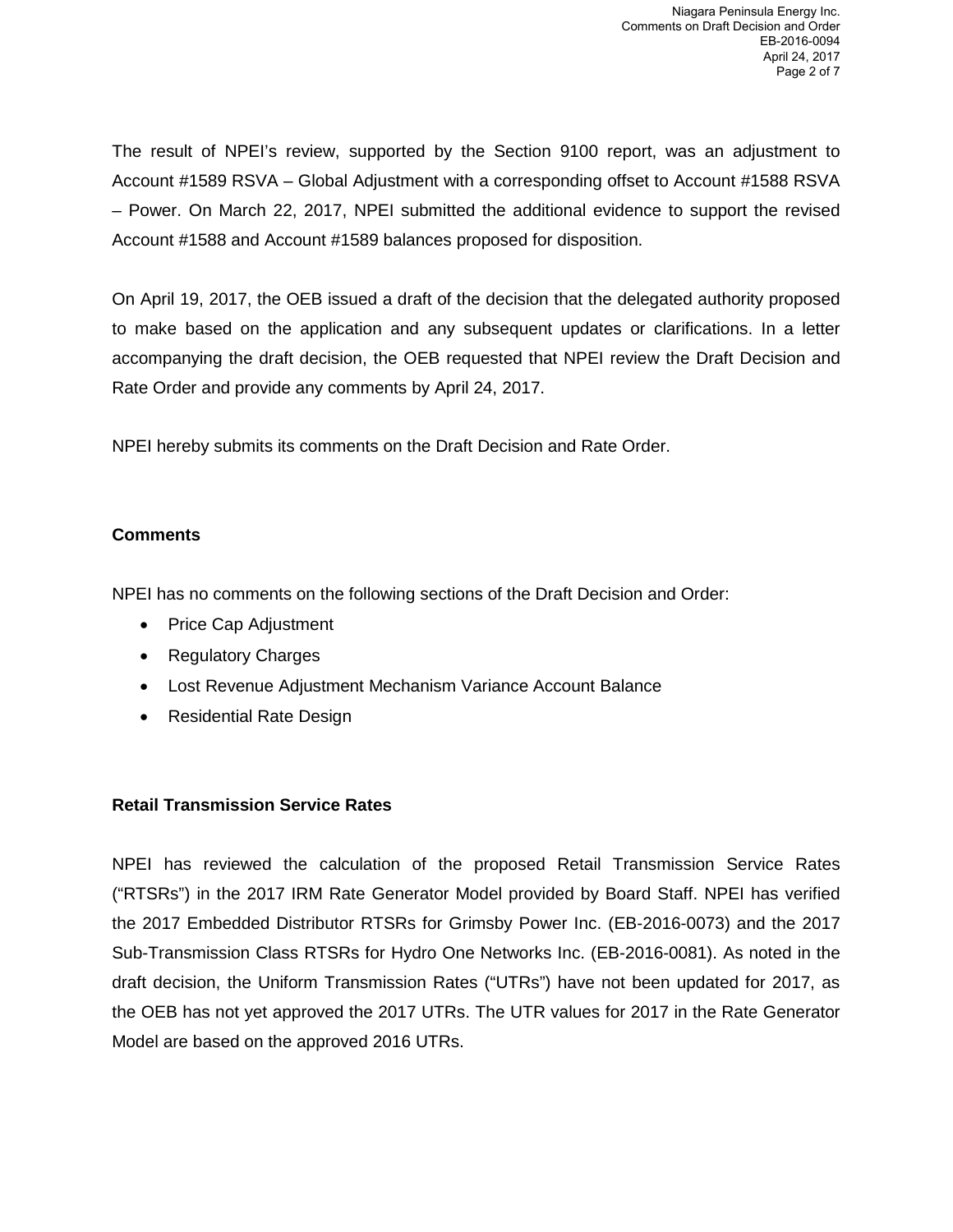The result of NPEI's review, supported by the Section 9100 report, was an adjustment to Account #1589 RSVA – Global Adjustment with a corresponding offset to Account #1588 RSVA – Power. On March 22, 2017, NPEI submitted the additional evidence to support the revised Account #1588 and Account #1589 balances proposed for disposition.

On April 19, 2017, the OEB issued a draft of the decision that the delegated authority proposed to make based on the application and any subsequent updates or clarifications. In a letter accompanying the draft decision, the OEB requested that NPEI review the Draft Decision and Rate Order and provide any comments by April 24, 2017.

NPEI hereby submits its comments on the Draft Decision and Rate Order.

## **Comments**

NPEI has no comments on the following sections of the Draft Decision and Order:

- Price Cap Adjustment
- Regulatory Charges
- Lost Revenue Adjustment Mechanism Variance Account Balance
- Residential Rate Design

### **Retail Transmission Service Rates**

NPEI has reviewed the calculation of the proposed Retail Transmission Service Rates ("RTSRs") in the 2017 IRM Rate Generator Model provided by Board Staff. NPEI has verified the 2017 Embedded Distributor RTSRs for Grimsby Power Inc. (EB-2016-0073) and the 2017 Sub-Transmission Class RTSRs for Hydro One Networks Inc. (EB-2016-0081). As noted in the draft decision, the Uniform Transmission Rates ("UTRs") have not been updated for 2017, as the OEB has not yet approved the 2017 UTRs. The UTR values for 2017 in the Rate Generator Model are based on the approved 2016 UTRs.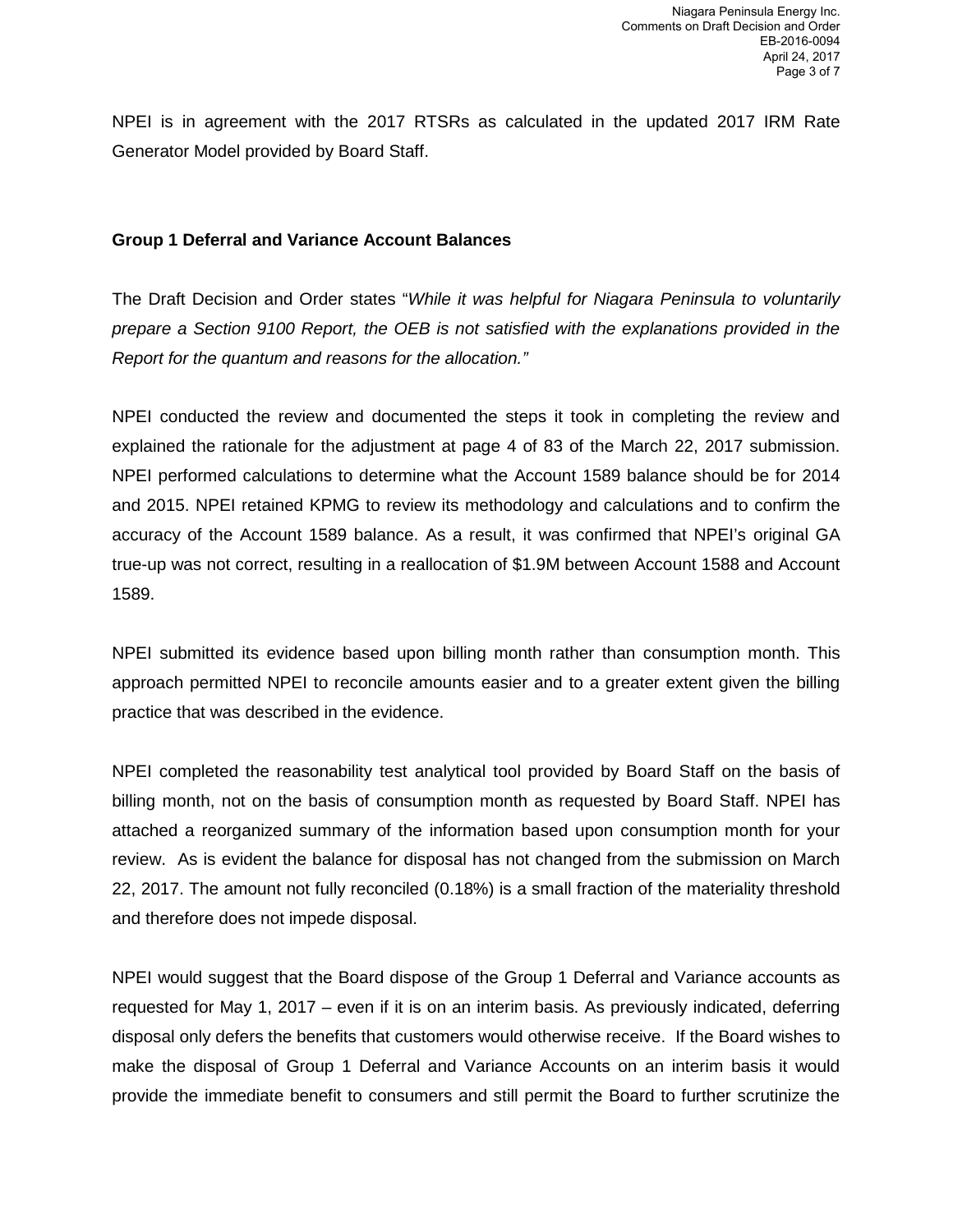NPEI is in agreement with the 2017 RTSRs as calculated in the updated 2017 IRM Rate Generator Model provided by Board Staff.

#### **Group 1 Deferral and Variance Account Balances**

The Draft Decision and Order states "*While it was helpful for Niagara Peninsula to voluntarily prepare a Section 9100 Report, the OEB is not satisfied with the explanations provided in the Report for the quantum and reasons for the allocation."* 

NPEI conducted the review and documented the steps it took in completing the review and explained the rationale for the adjustment at page 4 of 83 of the March 22, 2017 submission. NPEI performed calculations to determine what the Account 1589 balance should be for 2014 and 2015. NPEI retained KPMG to review its methodology and calculations and to confirm the accuracy of the Account 1589 balance. As a result, it was confirmed that NPEI's original GA true-up was not correct, resulting in a reallocation of \$1.9M between Account 1588 and Account 1589.

NPEI submitted its evidence based upon billing month rather than consumption month. This approach permitted NPEI to reconcile amounts easier and to a greater extent given the billing practice that was described in the evidence.

NPEI completed the reasonability test analytical tool provided by Board Staff on the basis of billing month, not on the basis of consumption month as requested by Board Staff. NPEI has attached a reorganized summary of the information based upon consumption month for your review. As is evident the balance for disposal has not changed from the submission on March 22, 2017. The amount not fully reconciled (0.18%) is a small fraction of the materiality threshold and therefore does not impede disposal.

NPEI would suggest that the Board dispose of the Group 1 Deferral and Variance accounts as requested for May 1, 2017 – even if it is on an interim basis. As previously indicated, deferring disposal only defers the benefits that customers would otherwise receive. If the Board wishes to make the disposal of Group 1 Deferral and Variance Accounts on an interim basis it would provide the immediate benefit to consumers and still permit the Board to further scrutinize the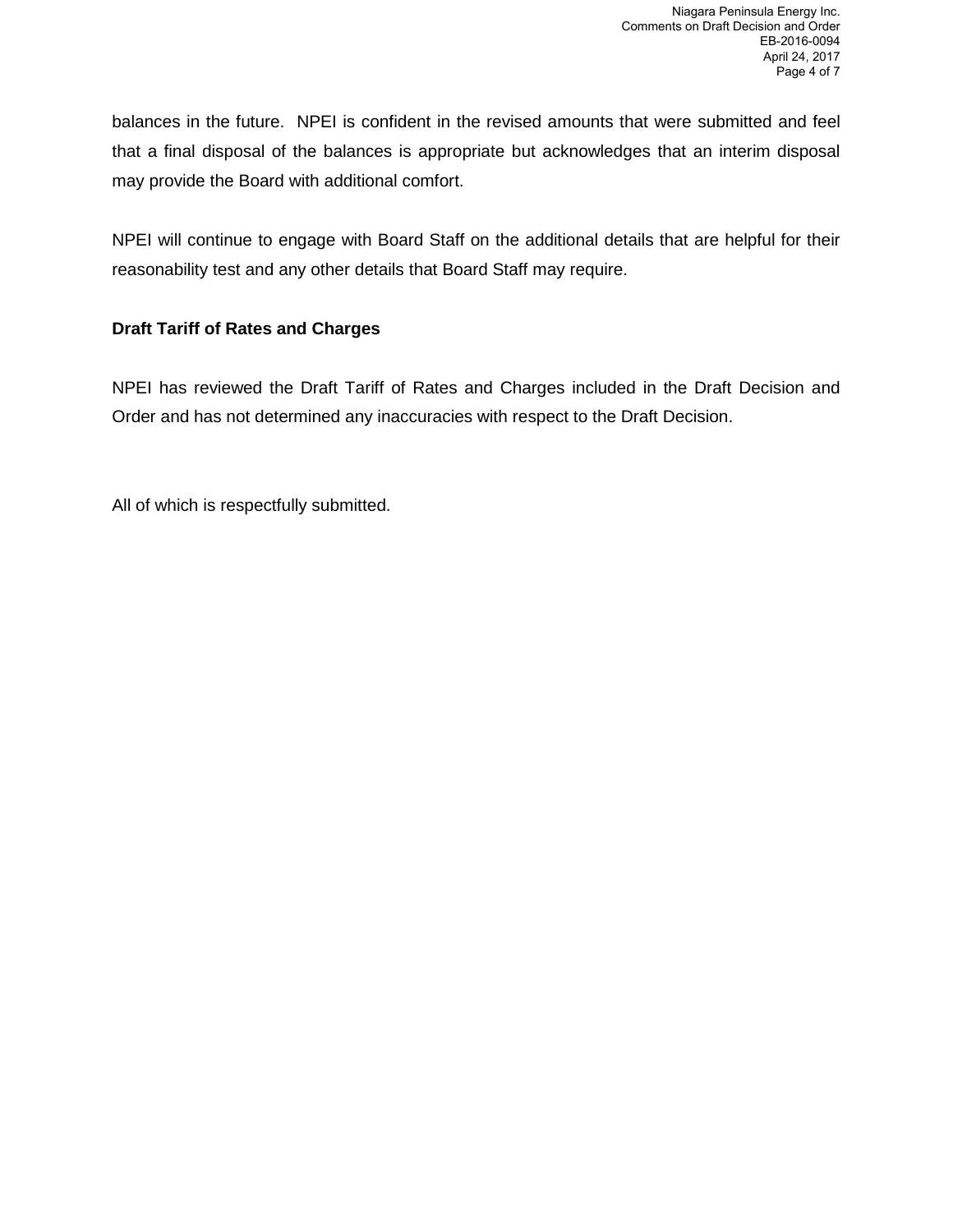balances in the future. NPEI is confident in the revised amounts that were submitted and feel that a final disposal of the balances is appropriate but acknowledges that an interim disposal may provide the Board with additional comfort.

NPEI will continue to engage with Board Staff on the additional details that are helpful for their reasonability test and any other details that Board Staff may require.

# **Draft Tariff of Rates and Charges**

NPEI has reviewed the Draft Tariff of Rates and Charges included in the Draft Decision and Order and has not determined any inaccuracies with respect to the Draft Decision.

All of which is respectfully submitted.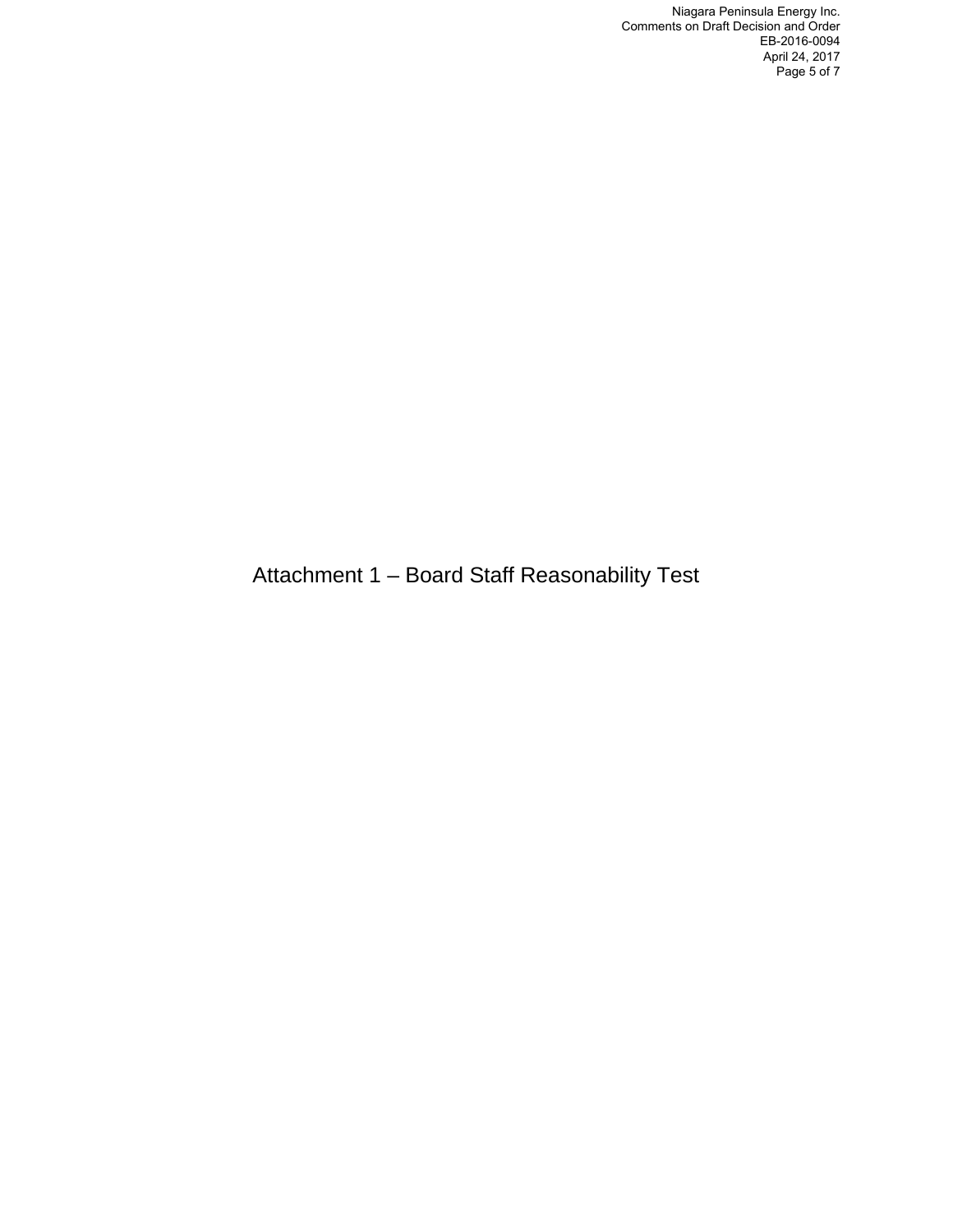Niagara Peninsula Energy Inc. Comments on Draft Decision and Order EB-2016-0094 April 24, 2017 Page 5 of 7

Attachment 1 – Board Staff Reasonability Test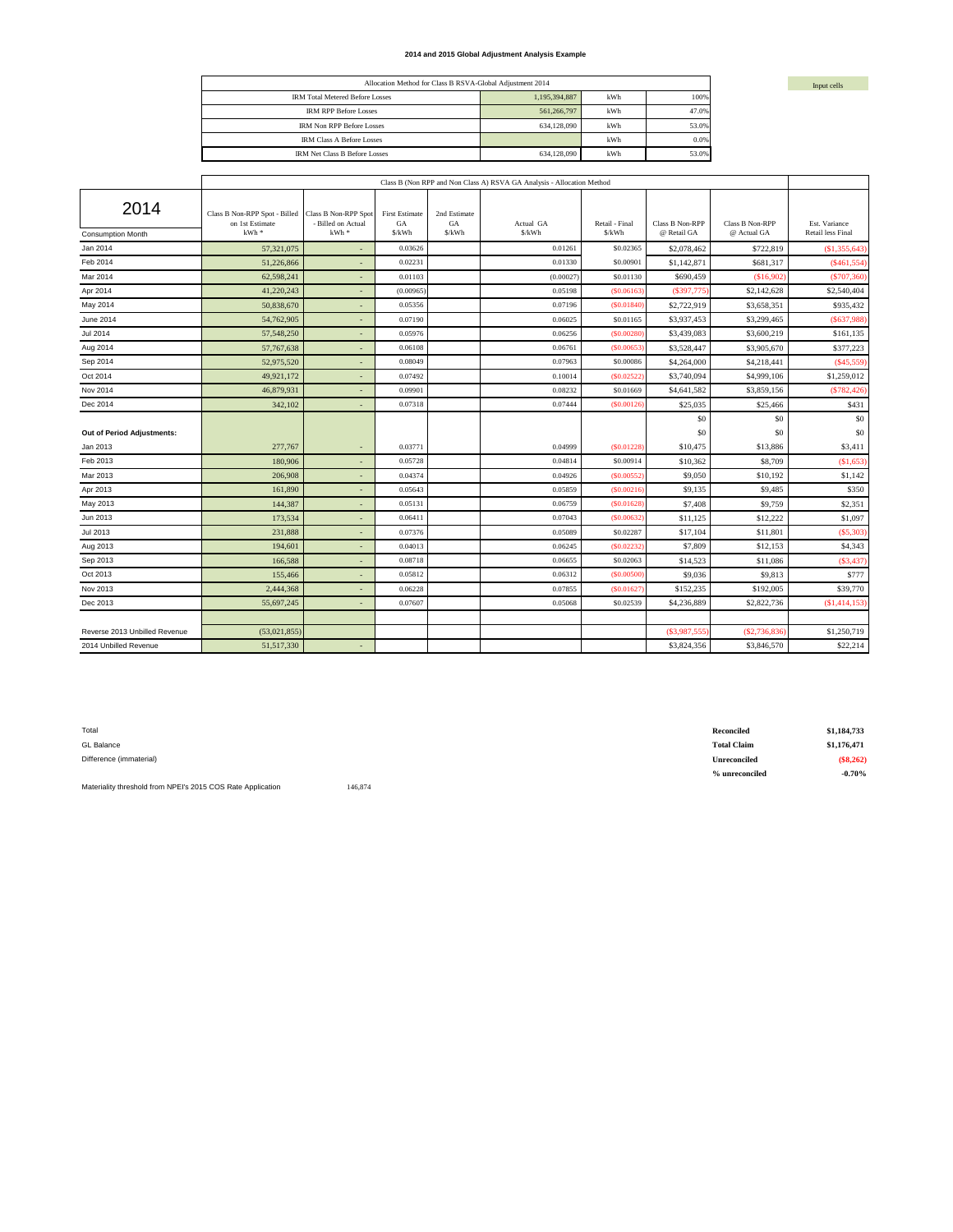#### **2014 and 2015 Global Adjustment Analysis Example**

| Allocation Method for Class B RSVA-Global Adjustment 2014 |               |     |       |  |  |  |  |
|-----------------------------------------------------------|---------------|-----|-------|--|--|--|--|
| <b>IRM Total Metered Before Losses</b>                    | 1,195,394,887 | kWh | 100%  |  |  |  |  |
| <b>IRM RPP Before Losses</b>                              | 561.266.797   | kWh | 47.0% |  |  |  |  |
| <b>IRM Non RPP Before Losses</b>                          | 634,128,090   | kWh | 53.0% |  |  |  |  |
| <b>IRM Class A Before Losses</b>                          |               | kWh | 0.0%  |  |  |  |  |
| <b>IRM Net Class B Before Losses</b>                      | 634,128,090   | kWh | 53.0% |  |  |  |  |

|                                  | Class B (Non RPP and Non Class A) RSVA GA Analysis - Allocation Method |                                                              |                                       |                             |                     |                          |                                       |                                |                                    |
|----------------------------------|------------------------------------------------------------------------|--------------------------------------------------------------|---------------------------------------|-----------------------------|---------------------|--------------------------|---------------------------------------|--------------------------------|------------------------------------|
| 2014<br><b>Consumption Month</b> | Class B Non-RPP Spot - Billed<br>on 1st Estimate<br>$kWh$ *            | <b>Class B Non-RPP Spot</b><br>- Billed on Actual<br>$kWh$ * | <b>First Estimate</b><br>GA<br>\$/kWh | 2nd Estimate<br>GA<br>S/kWh | Actual GA<br>\$/kWh | Retail - Final<br>\$/kWh | <b>Class B Non-RPP</b><br>@ Retail GA | Class B Non-RPP<br>@ Actual GA | Est. Variance<br>Retail less Final |
| Jan 2014                         | 57,321,075                                                             |                                                              | 0.03626                               |                             | 0.01261             | \$0.02365                | \$2,078,462                           | \$722,819                      | \$1,355,643                        |
| Feb 2014                         | 51.226.866                                                             |                                                              | 0.02231                               |                             | 0.01330             | \$0.00901                | \$1,142,871                           | \$681,317                      | (S461, 554)                        |
| Mar 2014                         | 62,598,241                                                             | $\overline{\phantom{a}}$                                     | 0.01103                               |                             | (0.00027)           | \$0.01130                | \$690,459                             | (\$16,902)                     | (S707, 360)                        |
| Apr 2014                         | 41,220,243                                                             |                                                              | (0.00965)                             |                             | 0.05198             | (S0.06163)               | (\$397,775                            | \$2,142,628                    | \$2,540,404                        |
| May 2014                         | 50,838,670                                                             |                                                              | 0.05356                               |                             | 0.07196             | ( \$0.01840              | \$2,722,919                           | \$3,658,351                    | \$935,432                          |
| June 2014                        | 54,762,905                                                             | ٠                                                            | 0.07190                               |                             | 0.06025             | \$0.01165                | \$3,937,453                           | \$3,299,465                    | (\$637,988)                        |
| <b>Jul 2014</b>                  | 57,548,250                                                             |                                                              | 0.05976                               |                             | 0.06256             | ( \$0.00280              | \$3,439,083                           | \$3,600,219                    | \$161,135                          |
| Aug 2014                         | 57,767,638                                                             | ٠                                                            | 0.06108                               |                             | 0.06761             | (S0.00653)               | \$3,528,447                           | \$3,905,670                    | \$377,223                          |
| Sep 2014                         | 52,975,520                                                             |                                                              | 0.08049                               |                             | 0.07963             | \$0,00086                | \$4,264,000                           | \$4,218,441                    | (S45, 559)                         |
| Oct 2014                         | 49,921,172                                                             | $\overline{\phantom{a}}$                                     | 0.07492                               |                             | 0.10014             | (S0.02522)               | \$3,740,094                           | \$4,999,106                    | \$1,259,012                        |
| Nov 2014                         | 46,879,931                                                             |                                                              | 0.09901                               |                             | 0.08232             | \$0.01669                | \$4,641,582                           | \$3,859,156                    | (S782, 426)                        |
| Dec 2014                         | 342,102                                                                |                                                              | 0.07318                               |                             | 0.07444             | (\$0.00126               | \$25,035                              | \$25,466                       | \$431                              |
|                                  |                                                                        |                                                              |                                       |                             |                     |                          | S <sub>0</sub>                        | \$0                            | \$0                                |
| Out of Period Adjustments:       |                                                                        |                                                              |                                       |                             |                     |                          | \$0                                   | \$0                            | \$0                                |
| Jan 2013                         | 277,767                                                                |                                                              | 0.03771                               |                             | 0.04999             | (S0.01228)               | \$10,475                              | \$13,886                       | \$3,411                            |
| Feb 2013                         | 180,906                                                                |                                                              | 0.05728                               |                             | 0.04814             | \$0.00914                | \$10,362                              | \$8,709                        | \$1,653                            |
| Mar 2013                         | 206,908                                                                |                                                              | 0.04374                               |                             | 0.04926             | (\$0.00552               | \$9,050                               | \$10,192                       | \$1,142                            |
| Apr 2013                         | 161.890                                                                | $\overline{\phantom{a}}$                                     | 0.05643                               |                             | 0.05859             | (\$0.00216               | \$9.135                               | \$9,485                        | \$350                              |
| May 2013                         | 144,387                                                                | ٠                                                            | 0.05131                               |                             | 0.06759             | (S0.01628)               | \$7,408                               | \$9,759                        | \$2,351                            |
| Jun 2013                         | 173,534                                                                |                                                              | 0.06411                               |                             | 0.07043             | (S0.00632)               | \$11,125                              | \$12,222                       | \$1,097                            |
| Jul 2013                         | 231,888                                                                | ٠                                                            | 0.07376                               |                             | 0.05089             | \$0.02287                | \$17,104                              | \$11,801                       | (S5, 303)                          |
| Aug 2013                         | 194,601                                                                |                                                              | 0.04013                               |                             | 0.06245             | (S0.02232)               | \$7,809                               | \$12,153                       | \$4,343                            |
| Sep 2013                         | 166,588                                                                | ٠                                                            | 0.08718                               |                             | 0.06655             | \$0.02063                | \$14,523                              | \$11,086                       | (S3, 437)                          |
| Oct 2013                         | 155,466                                                                |                                                              | 0.05812                               |                             | 0.06312             | (\$0.00500               | \$9,036                               | \$9,813                        | \$777                              |
| Nov 2013                         | 2,444,368                                                              | $\overline{\phantom{a}}$                                     | 0.06228                               |                             | 0.07855             | (S0.01627)               | \$152,235                             | \$192,005                      | \$39,770                           |
| Dec 2013                         | 55,697,245                                                             |                                                              | 0.07607                               |                             | 0.05068             | \$0.02539                | \$4,236,889                           | \$2,822,736                    | (S1, 414, 153)                     |
|                                  |                                                                        |                                                              |                                       |                             |                     |                          |                                       |                                |                                    |
| Reverse 2013 Unbilled Revenue    | (53,021,855)                                                           |                                                              |                                       |                             |                     |                          | (\$3,987,555                          | (\$2,736,836                   | \$1,250,719                        |
| 2014 Unbilled Revenue            | 51,517,330                                                             |                                                              |                                       |                             |                     |                          | \$3,824,356                           | \$3,846,570                    | \$22,214                           |

| Total                   | Reconciled          | \$1,184,733 |
|-------------------------|---------------------|-------------|
| GL Balance              | <b>Total Claim</b>  | \$1,176,471 |
| Difference (immaterial) | <b>Unreconciled</b> | $(\$8,262)$ |
|                         | % unreconciled      | $-0.70%$    |

Materiality threshold from NPEI's 2015 COS Rate Application 146,874